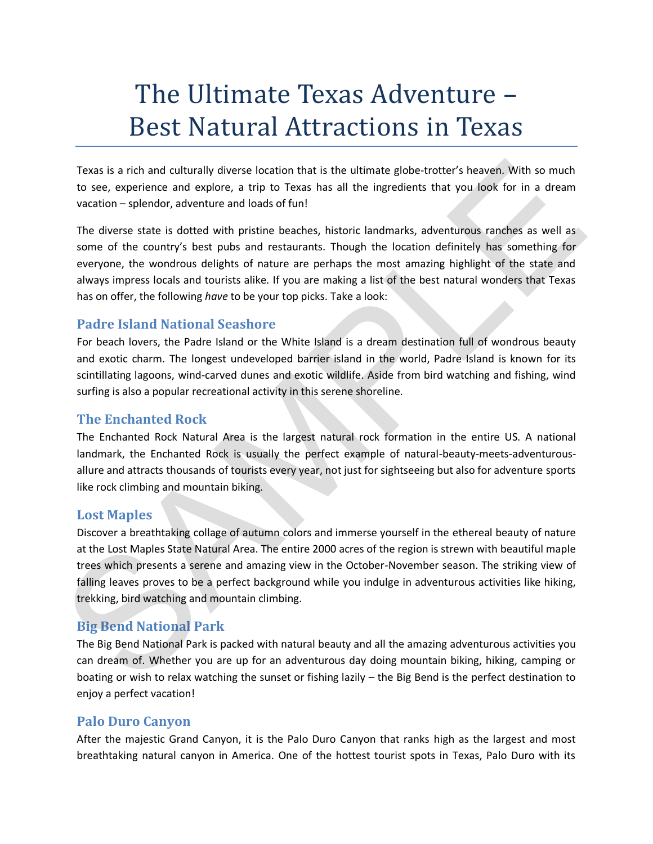# The Ultimate Texas Adventure – Best Natural Attractions in Texas

Texas is a rich and culturally diverse location that is the ultimate globe-trotter's heaven. With so much to see, experience and explore, a trip to Texas has all the ingredients that you look for in a dream vacation – splendor, adventure and loads of fun!

The diverse state is dotted with pristine beaches, historic landmarks, adventurous ranches as well as some of the country's best pubs and restaurants. Though the location definitely has something for everyone, the wondrous delights of nature are perhaps the most amazing highlight of the state and always impress locals and tourists alike. If you are making a list of the best natural wonders that Texas has on offer, the following *have* to be your top picks. Take a look:

## **Padre Island National Seashore**

For beach lovers, the Padre Island or the White Island is a dream destination full of wondrous beauty and exotic charm. The longest undeveloped barrier island in the world, Padre Island is known for its scintillating lagoons, wind-carved dunes and exotic wildlife. Aside from bird watching and fishing, wind surfing is also a popular recreational activity in this serene shoreline.

#### **The Enchanted Rock**

The Enchanted Rock Natural Area is the largest natural rock formation in the entire US. A national landmark, the Enchanted Rock is usually the perfect example of natural-beauty-meets-adventurousallure and attracts thousands of tourists every year, not just for sightseeing but also for adventure sports like rock climbing and mountain biking.

#### **Lost Maples**

Discover a breathtaking collage of autumn colors and immerse yourself in the ethereal beauty of nature at the Lost Maples State Natural Area. The entire 2000 acres of the region is strewn with beautiful maple trees which presents a serene and amazing view in the October-November season. The striking view of falling leaves proves to be a perfect background while you indulge in adventurous activities like hiking, trekking, bird watching and mountain climbing. Texas is a rich and culturally diverse location that is the ultimate globe-trotter's heaven. With so much<br>to see, experience and explore, a trip to Texas has all the ingredients that you look for in a dream<br>vacation – sple

### **Big Bend National Park**

The Big Bend National Park is packed with natural beauty and all the amazing adventurous activities you can dream of. Whether you are up for an adventurous day doing mountain biking, hiking, camping or boating or wish to relax watching the sunset or fishing lazily – the Big Bend is the perfect destination to enjoy a perfect vacation!

#### **Palo Duro Canyon**

After the majestic Grand Canyon, it is the Palo Duro Canyon that ranks high as the largest and most breathtaking natural canyon in America. One of the hottest tourist spots in Texas, Palo Duro with its